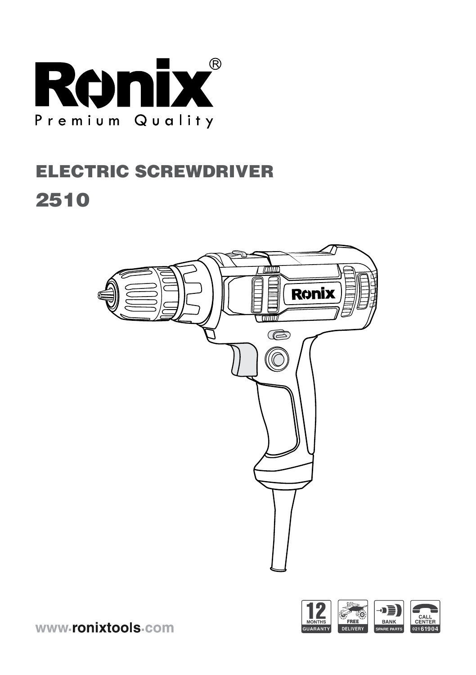

# ELECTRIC SCREWDRIVER 2510





www-ronixtools-com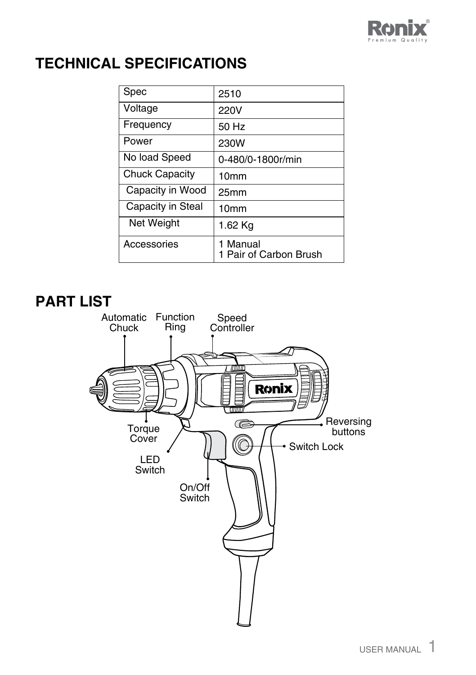

## **TECHNICAL SPECIFICATIONS**

| Spec                  | 2510                               |
|-----------------------|------------------------------------|
| Voltage               | 220V                               |
| Frequency             | 50 Hz                              |
| Power                 | 230W                               |
| No load Speed         | 0-480/0-1800r/min                  |
| <b>Chuck Capacity</b> | 10 <sub>mm</sub>                   |
| Capacity in Wood      | 25 <sub>mm</sub>                   |
| Capacity in Steal     | 10 <sub>mm</sub>                   |
| Net Weight            | 1.62 Kg                            |
| Accessories           | 1 Manual<br>1 Pair of Carbon Brush |

### **PART LIST**

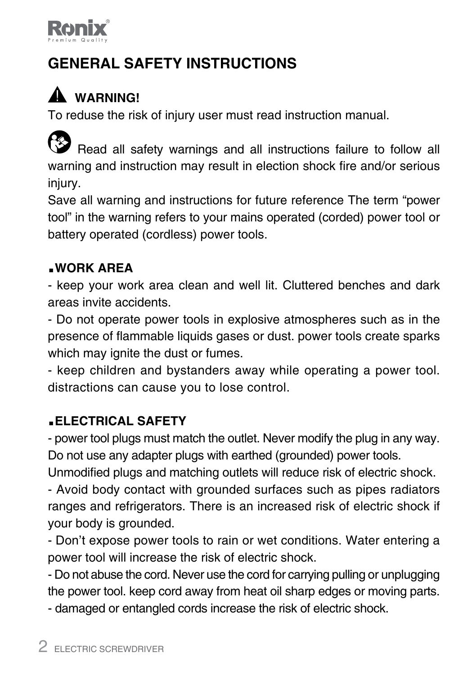

## **GENERAL SAFETY INSTRUCTIONS**

## A WARNING!

To reduse the risk of injury user must read instruction manual.

Read all safety warnings and all instructions failure to follow all warning and instruction may result in election shock fire and/or serious injury.

Save all warning and instructions for future reference The term "power tool" in the warning refers to your mains operated (corded) power tool or battery operated (cordless) power tools.

#### **.WORK AREA**

- keep your work area clean and well lit. Cluttered benches and dark areas invite accidents.

- Do not operate power tools in explosive atmospheres such as in the presence of flammable liquids gases or dust. power tools create sparks which may ignite the dust or fumes.

- keep children and bystanders away while operating a power tool. distractions can cause you to lose control.

#### **.ELECTRICAL SAFETY**

- power tool plugs must match the outlet. Never modify the plug in any way. Do not use any adapter plugs with earthed (grounded) power tools.

Unmodified plugs and matching outlets will reduce risk of electric shock.

- Avoid body contact with grounded surfaces such as pipes radiators ranges and refrigerators. There is an increased risk of electric shock if your body is grounded.

- Don't expose power tools to rain or wet conditions. Water entering a power tool will increase the risk of electric shock.

- Do not abuse the cord. Never use the cord for carrying pulling or unplugging the power tool. keep cord away from heat oil sharp edges or moving parts.

- damaged or entangled cords increase the risk of electric shock.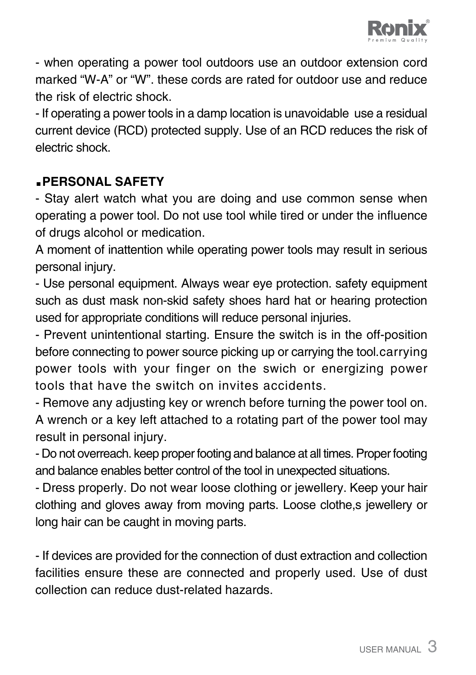

- when operating a power tool outdoors use an outdoor extension cord marked "W-A" or "W". these cords are rated for outdoor use and reduce the risk of electric shock.

- If operating a power tools in a damp location is unavoidable use a residual current device (RCD) protected supply. Use of an RCD reduces the risk of electric shock.

#### **.PERSONAL SAFETY**

- Stay alert watch what you are doing and use common sense when operating a power tool. Do not use tool while tired or under the influence of drugs alcohol or medication.

A moment of inattention while operating power tools may result in serious personal injury.

- Use personal equipment. Always wear eye protection. safety equipment such as dust mask non-skid safety shoes hard hat or hearing protection used for appropriate conditions will reduce personal injuries.

- Prevent unintentional starting. Ensure the switch is in the off-position before connecting to power source picking up or carrying the tool.carrying power tools with your finger on the swich or energizing power tools that have the switch on invites accidents.

- Remove any adjusting key or wrench before turning the power tool on. A wrench or a key left attached to a rotating part of the power tool may result in personal injury.

- Do not overreach. keep proper footing and balance at all times. Proper footing and balance enables better control of the tool in unexpected situations.

- Dress properly. Do not wear loose clothing or jewellery. Keep your hair clothing and gloves away from moving parts. Loose clothe,s jewellery or long hair can be caught in moving parts.

- If devices are provided for the connection of dust extraction and collection facilities ensure these are connected and properly used. Use of dust collection can reduce dust-related hazards.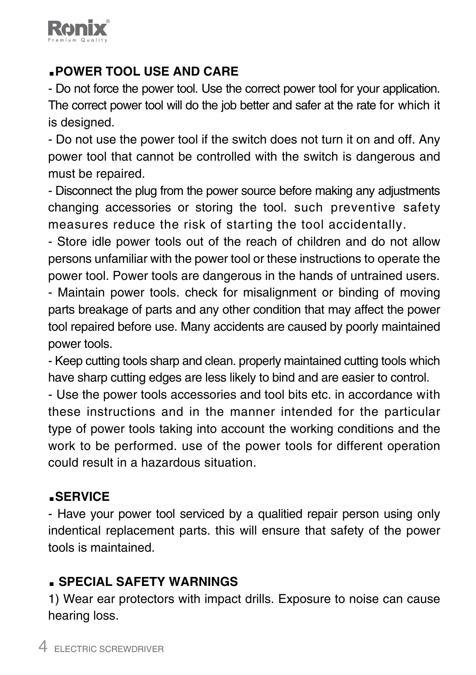

#### **.POWER TOOL USE AND CARE**

- Do not force the power tool. Use the correct power tool for your application. The correct power tool will do the job better and safer at the rate for which it is designed.

- Do not use the power tool if the switch does not turn it on and off. Any power tool that cannot be controlled with the switch is dangerous and must be repaired.

- Disconnect the plug from the power source before making any adjustments changing accessories or storing the tool. such preventive safety measures reduce the risk of starting the tool accidentally.

- Store idle power tools out of the reach of children and do not allow persons unfamiliar with the power tool or these instructions to operate the power tool. Power tools are dangerous in the hands of untrained users.

- Maintain power tools. check for misalignment or binding of moving parts breakage of parts and any other condition that may affect the power tool repaired before use. Many accidents are caused by poorly maintained power tools.

- Keep cutting tools sharp and clean. properly maintained cutting tools which have sharp cutting edges are less likely to bind and are easier to control.

- Use the power tools accessories and tool bits etc. in accordance with these instructions and in the manner intended for the particular type of power tools taking into account the working conditions and the work to be performed. use of the power tools for different operation could result in a hazardous situation.

#### **.SERVICE**

- Have your power tool serviced by a qualitied repair person using only indentical replacement parts. this will ensure that safety of the power tools is maintained.

#### **. SPECIAL SAFETY WARNINGS**

1) Wear ear protectors with impact drills. Exposure to noise can cause hearing loss.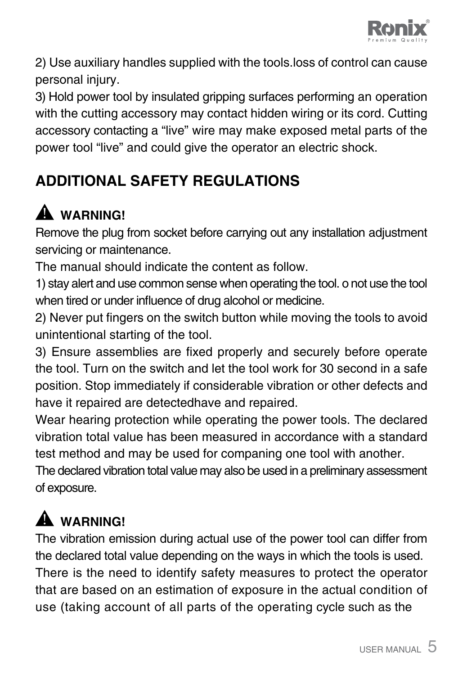

2) Use auxiliary handles supplied with the tools.loss of control can cause personal injury.

3) Hold power tool by insulated gripping surfaces performing an operation with the cutting accessory may contact hidden wiring or its cord. Cutting accessory contacting a "live" wire may make exposed metal parts of the power tool "live" and could give the operator an electric shock.

## **ADDITIONAL SAFETY REGULATIONS**

## **WARNING!**

Remove the plug from socket before carrying out any installation adjustment servicing or maintenance.

The manual should indicate the content as follow.

1) stay alert and use common sense when operating the tool. o not use the tool when tired or under influence of drug alcohol or medicine.

2) Never put fingers on the switch button while moving the tools to avoid unintentional starting of the tool.

3) Ensure assemblies are fixed properly and securely before operate the tool. Turn on the switch and let the tool work for 30 second in a safe position. Stop immediately if considerable vibration or other defects and have it repaired are detectedhave and repaired.

Wear hearing protection while operating the power tools. The declared vibration total value has been measured in accordance with a standard test method and may be used for companing one tool with another.

The declared vibration total value may also be used in a preliminary assessment of exposure.

# A WARNING!

The vibration emission during actual use of the power tool can differ from the declared total value depending on the ways in which the tools is used. There is the need to identify safety measures to protect the operator that are based on an estimation of exposure in the actual condition of use (taking account of all parts of the operating cycle such as the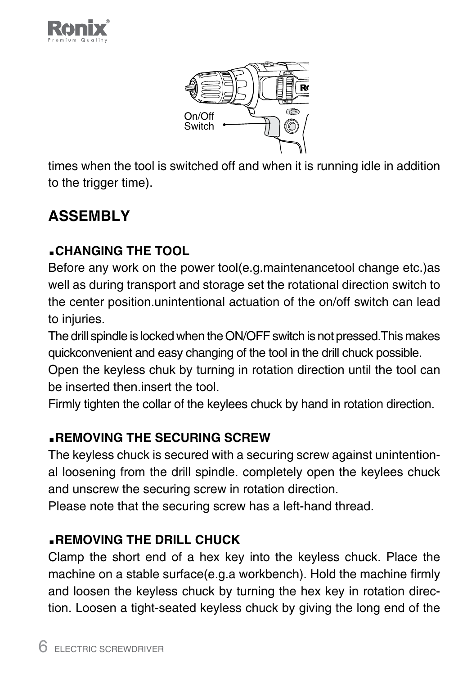



times when the tool is switched off and when it is running idle in addition to the trigger time).

## **ASSEMBLY**

#### **.CHANGING THE TOOL**

Before any work on the power tool(e.g.maintenancetool change etc.)as well as during transport and storage set the rotational direction switch to the center position.unintentional actuation of the on/off switch can lead to injuries.

The drill spindle is locked when the ON/OFF switch is not pressed.This makes quickconvenient and easy changing of the tool in the drill chuck possible.

Open the keyless chuk by turning in rotation direction until the tool can be inserted then insert the tool.

Firmly tighten the collar of the keylees chuck by hand in rotation direction.

#### **.REMOVING THE SECURING SCREW**

The keyless chuck is secured with a securing screw against unintentional loosening from the drill spindle. completely open the keylees chuck and unscrew the securing screw in rotation direction.

Please note that the securing screw has a left-hand thread.

#### **.REMOVING THE DRILL CHUCK**

Clamp the short end of a hex key into the keyless chuck. Place the machine on a stable surface(e.g.a workbench). Hold the machine firmly and loosen the keyless chuck by turning the hex key in rotation direction. Loosen a tight-seated keyless chuck by giving the long end of the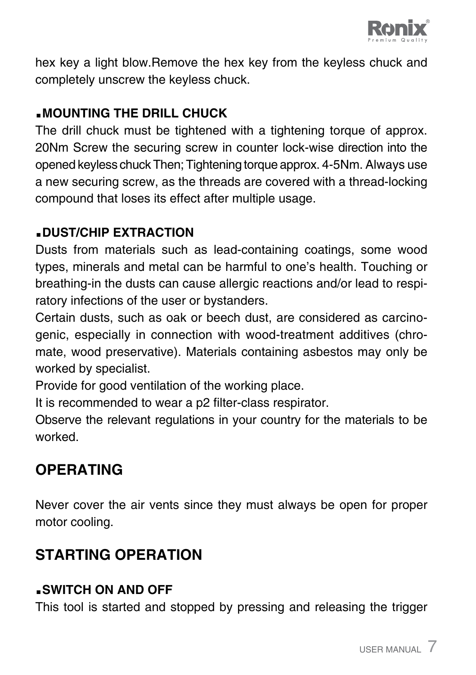

hex key a light blow.Remove the hex key from the keyless chuck and completely unscrew the keyless chuck.

#### **.MOUNTING THE DRILL CHUCK**

The drill chuck must be tightened with a tightening torque of approx. 20Nm Screw the securing screw in counter lock-wise direction into the opened keyless chuck Then; Tightening torque approx. 4-5Nm. Always use a new securing screw, as the threads are covered with a thread-locking compound that loses its effect after multiple usage.

#### **.DUST/CHIP EXTRACTION**

Dusts from materials such as lead-containing coatings, some wood types, minerals and metal can be harmful to one's health. Touching or breathing-in the dusts can cause allergic reactions and/or lead to respiratory infections of the user or bystanders.

Certain dusts, such as oak or beech dust, are considered as carcinogenic, especially in connection with wood-treatment additives (chromate, wood preservative). Materials containing asbestos may only be worked by specialist.

Provide for good ventilation of the working place.

It is recommended to wear a p2 filter-class respirator.

Observe the relevant regulations in your country for the materials to be worked.

## **OPERATING**

Never cover the air vents since they must always be open for proper motor cooling.

## **STARTING OPERATION**

#### **.SWITCH ON AND OFF**

This tool is started and stopped by pressing and releasing the trigger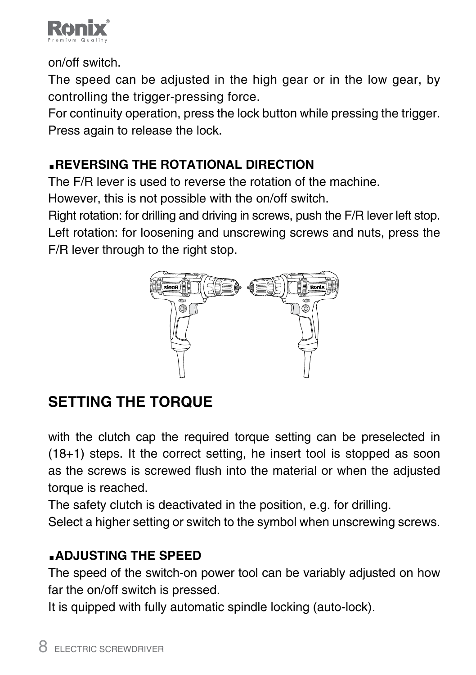

on/off switch.

The speed can be adjusted in the high gear or in the low gear, by controlling the trigger-pressing force.

For continuity operation, press the lock button while pressing the trigger. Press again to release the lock.

#### **.REVERSING THE ROTATIONAL DIRECTION**

The F/R lever is used to reverse the rotation of the machine.

However, this is not possible with the on/off switch.

Right rotation: for drilling and driving in screws, push the F/R lever left stop. Left rotation: for loosening and unscrewing screws and nuts, press the F/R lever through to the right stop.



## **SETTING THE TORQUE**

with the clutch cap the required torque setting can be preselected in (18+1) steps. It the correct setting, he insert tool is stopped as soon as the screws is screwed flush into the material or when the adjusted torque is reached.

The safety clutch is deactivated in the position, e.g. for drilling.

Select a higher setting or switch to the symbol when unscrewing screws.

#### **LADJUSTING THE SPEED**

The speed of the switch-on power tool can be variably adjusted on how far the on/off switch is pressed.

It is quipped with fully automatic spindle locking (auto-lock).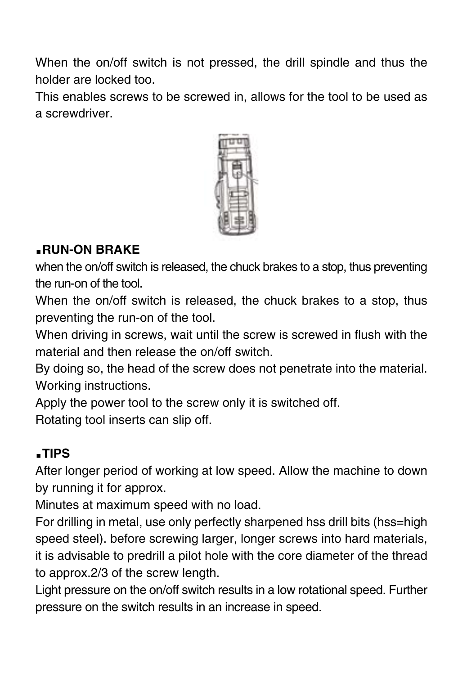When the on/off switch is not pressed, the drill spindle and thus the holder are locked too.

This enables screws to be screwed in, allows for the tool to be used as a screwdriver.



#### **.RUN-ON BRAKE**

when the on/off switch is released, the chuck brakes to a stop, thus preventing the run-on of the tool.

When the on/off switch is released, the chuck brakes to a stop, thus preventing the run-on of the tool.

When driving in screws, wait until the screw is screwed in flush with the material and then release the on/off switch.

By doing so, the head of the screw does not penetrate into the material. Working instructions.

Apply the power tool to the screw only it is switched off.

Rotating tool inserts can slip off.

#### **.TIPS**

After longer period of working at low speed. Allow the machine to down by running it for approx.

Minutes at maximum speed with no load.

For drilling in metal, use only perfectly sharpened hss drill bits (hss=high speed steel). before screwing larger, longer screws into hard materials, it is advisable to predrill a pilot hole with the core diameter of the thread to approx.2/3 of the screw length.

Light pressure on the on/off switch results in a low rotational speed. Further pressure on the switch results in an increase in speed.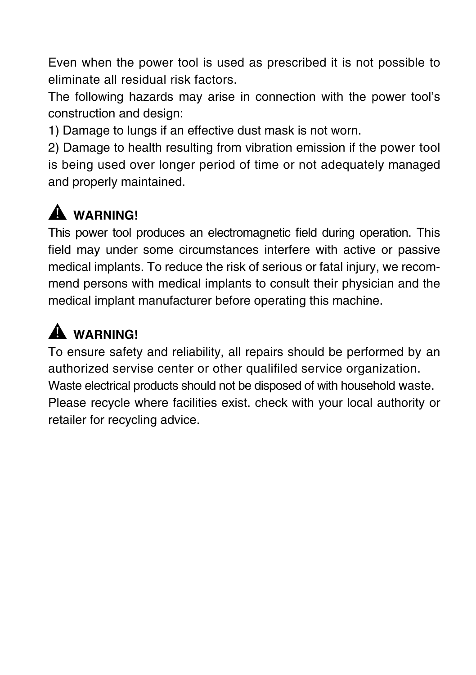Even when the power tool is used as prescribed it is not possible to eliminate all residual risk factors.

The following hazards may arise in connection with the power tool's construction and design:

1) Damage to lungs if an effective dust mask is not worn.

2) Damage to health resulting from vibration emission if the power tool is being used over longer period of time or not adequately managed and properly maintained.

## **A** WARNING!

This power tool produces an electromagnetic field during operation. This field may under some circumstances interfere with active or passive medical implants. To reduce the risk of serious or fatal injury, we recommend persons with medical implants to consult their physician and the medical implant manufacturer before operating this machine.

# A WARNING!

To ensure safety and reliability, all repairs should be performed by an authorized servise center or other qualifiled service organization. Waste electrical products should not be disposed of with household waste. Please recycle where facilities exist. check with your local authority or retailer for recycling advice.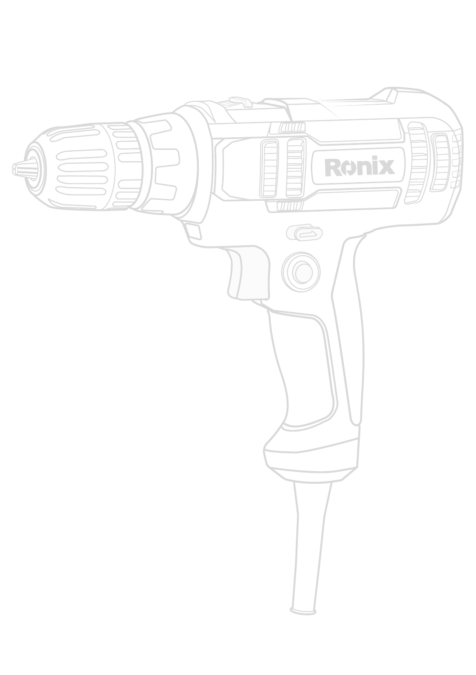